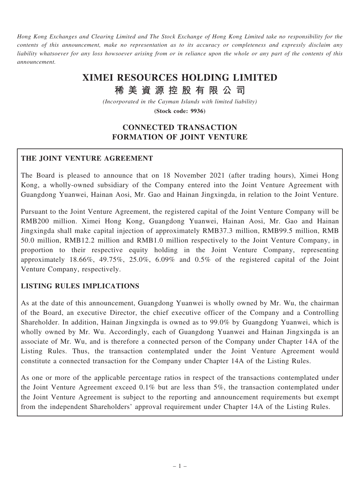Hong Kong Exchanges and Clearing Limited and The Stock Exchange of Hong Kong Limited take no responsibility for the contents of this announcement, make no representation as to its accuracy or completeness and expressly disclaim any liability whatsoever for any loss howsoever arising from or in reliance upon the whole or any part of the contents of this announcement.

# XIMEI RESOURCES HOLDING LIMITED

# 稀 美 資 源 控 股 有 限 公 司

(Incorporated in the Cayman Islands with limited liability)

(Stock code: 9936)

# CONNECTED TRANSACTION FORMATION OF JOINT VENTURE

#### THE JOINT VENTURE AGREEMENT

The Board is pleased to announce that on 18 November 2021 (after trading hours), Ximei Hong Kong, a wholly-owned subsidiary of the Company entered into the Joint Venture Agreement with Guangdong Yuanwei, Hainan Aosi, Mr. Gao and Hainan Jingxingda, in relation to the Joint Venture.

Pursuant to the Joint Venture Agreement, the registered capital of the Joint Venture Company will be RMB200 million. Ximei Hong Kong, Guangdong Yuanwei, Hainan Aosi, Mr. Gao and Hainan Jingxingda shall make capital injection of approximately RMB37.3 million, RMB99.5 million, RMB 50.0 million, RMB12.2 million and RMB1.0 million respectively to the Joint Venture Company, in proportion to their respective equity holding in the Joint Venture Company, representing approximately 18.66%, 49.75%, 25.0%, 6.09% and 0.5% of the registered capital of the Joint Venture Company, respectively.

# LISTING RULES IMPLICATIONS

As at the date of this announcement, Guangdong Yuanwei is wholly owned by Mr. Wu, the chairman of the Board, an executive Director, the chief executive officer of the Company and a Controlling Shareholder. In addition, Hainan Jingxingda is owned as to 99.0% by Guangdong Yuanwei, which is wholly owned by Mr. Wu. Accordingly, each of Guangdong Yuanwei and Hainan Jingxingda is an associate of Mr. Wu, and is therefore a connected person of the Company under Chapter 14A of the Listing Rules. Thus, the transaction contemplated under the Joint Venture Agreement would constitute a connected transaction for the Company under Chapter 14A of the Listing Rules.

As one or more of the applicable percentage ratios in respect of the transactions contemplated under the Joint Venture Agreement exceed 0.1% but are less than 5%, the transaction contemplated under the Joint Venture Agreement is subject to the reporting and announcement requirements but exempt from the independent Shareholders' approval requirement under Chapter 14A of the Listing Rules.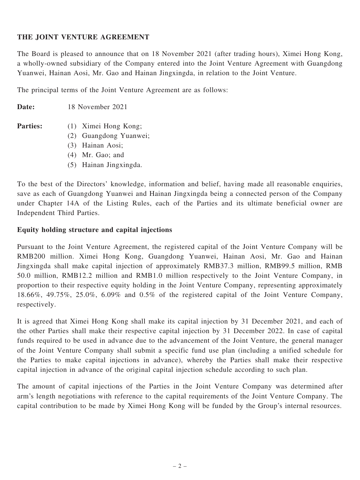#### THE JOINT VENTURE AGREEMENT

The Board is pleased to announce that on 18 November 2021 (after trading hours), Ximei Hong Kong, a wholly-owned subsidiary of the Company entered into the Joint Venture Agreement with Guangdong Yuanwei, Hainan Aosi, Mr. Gao and Hainan Jingxingda, in relation to the Joint Venture.

The principal terms of the Joint Venture Agreement are as follows:

Date: 18 November 2021

- 
- Parties: (1) Ximei Hong Kong;
	- (2) Guangdong Yuanwei;
	- (3) Hainan Aosi;
	- (4) Mr. Gao; and
	- (5) Hainan Jingxingda.

To the best of the Directors' knowledge, information and belief, having made all reasonable enquiries, save as each of Guangdong Yuanwei and Hainan Jingxingda being a connected person of the Company under Chapter 14A of the Listing Rules, each of the Parties and its ultimate beneficial owner are Independent Third Parties.

#### Equity holding structure and capital injections

Pursuant to the Joint Venture Agreement, the registered capital of the Joint Venture Company will be RMB200 million. Ximei Hong Kong, Guangdong Yuanwei, Hainan Aosi, Mr. Gao and Hainan Jingxingda shall make capital injection of approximately RMB37.3 million, RMB99.5 million, RMB 50.0 million, RMB12.2 million and RMB1.0 million respectively to the Joint Venture Company, in proportion to their respective equity holding in the Joint Venture Company, representing approximately 18.66%, 49.75%, 25.0%, 6.09% and 0.5% of the registered capital of the Joint Venture Company, respectively.

It is agreed that Ximei Hong Kong shall make its capital injection by 31 December 2021, and each of the other Parties shall make their respective capital injection by 31 December 2022. In case of capital funds required to be used in advance due to the advancement of the Joint Venture, the general manager of the Joint Venture Company shall submit a specific fund use plan (including a unified schedule for the Parties to make capital injections in advance), whereby the Parties shall make their respective capital injection in advance of the original capital injection schedule according to such plan.

The amount of capital injections of the Parties in the Joint Venture Company was determined after arm's length negotiations with reference to the capital requirements of the Joint Venture Company. The capital contribution to be made by Ximei Hong Kong will be funded by the Group's internal resources.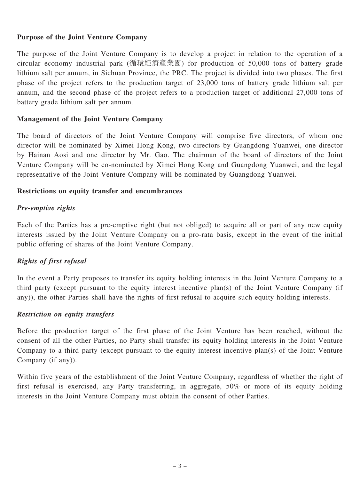#### Purpose of the Joint Venture Company

The purpose of the Joint Venture Company is to develop a project in relation to the operation of a circular economy industrial park (循環經濟產業園) for production of 50,000 tons of battery grade lithium salt per annum, in Sichuan Province, the PRC. The project is divided into two phases. The first phase of the project refers to the production target of 23,000 tons of battery grade lithium salt per annum, and the second phase of the project refers to a production target of additional 27,000 tons of battery grade lithium salt per annum.

#### Management of the Joint Venture Company

The board of directors of the Joint Venture Company will comprise five directors, of whom one director will be nominated by Ximei Hong Kong, two directors by Guangdong Yuanwei, one director by Hainan Aosi and one director by Mr. Gao. The chairman of the board of directors of the Joint Venture Company will be co-nominated by Ximei Hong Kong and Guangdong Yuanwei, and the legal representative of the Joint Venture Company will be nominated by Guangdong Yuanwei.

#### Restrictions on equity transfer and encumbrances

# Pre-emptive rights

Each of the Parties has a pre-emptive right (but not obliged) to acquire all or part of any new equity interests issued by the Joint Venture Company on a pro-rata basis, except in the event of the initial public offering of shares of the Joint Venture Company.

# $\sigma$  first refuge refuge refuge  $\sigma$

In the event a Party proposes to transfer its equity holding interests in the Joint Venture Company to a third party (except pursuant to the equity interest incentive plan(s) of the Joint Venture Company (if any)), the other Parties shall have the rights of first refusal to acquire such equity holding interests.

#### Restriction on equity transfers

Before the production target of the first phase of the Joint Venture has been reached, without the consent of all the other Parties, no Party shall transfer its equity holding interests in the Joint Venture Company to a third party (except pursuant to the equity interest incentive plan(s) of the Joint Venture Company (if any)).

Within five years of the establishment of the Joint Venture Company, regardless of whether the right of first refusal is exercised, any Party transferring, in aggregate, 50% or more of its equity holding interests in the Joint Venture Company must obtain the consent of other Parties.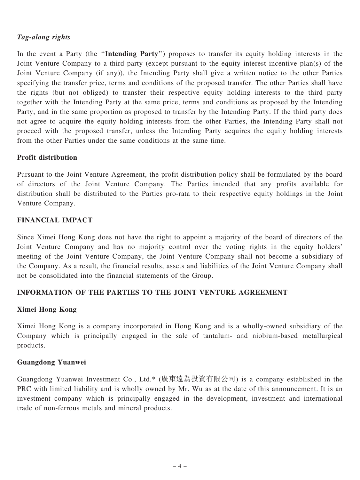#### Tag-along rights

In the event a Party (the "Intending Party") proposes to transfer its equity holding interests in the Joint Venture Company to a third party (except pursuant to the equity interest incentive plan(s) of the Joint Venture Company (if any)), the Intending Party shall give a written notice to the other Parties specifying the transfer price, terms and conditions of the proposed transfer. The other Parties shall have the rights (but not obliged) to transfer their respective equity holding interests to the third party together with the Intending Party at the same price, terms and conditions as proposed by the Intending Party, and in the same proportion as proposed to transfer by the Intending Party. If the third party does not agree to acquire the equity holding interests from the other Parties, the Intending Party shall not proceed with the proposed transfer, unless the Intending Party acquires the equity holding interests from the other Parties under the same conditions at the same time.

#### Profit distribution

Pursuant to the Joint Venture Agreement, the profit distribution policy shall be formulated by the board of directors of the Joint Venture Company. The Parties intended that any profits available for distribution shall be distributed to the Parties pro-rata to their respective equity holdings in the Joint Venture Company.

## FINANCIAL IMPACT

Since Ximei Hong Kong does not have the right to appoint a majority of the board of directors of the Joint Venture Company and has no majority control over the voting rights in the equity holders' meeting of the Joint Venture Company, the Joint Venture Company shall not become a subsidiary of the Company. As a result, the financial results, assets and liabilities of the Joint Venture Company shall not be consolidated into the financial statements of the Group.

# INFORMATION OF THE PARTIES TO THE JOINT VENTURE AGREEMENT

#### Ximei Hong Kong

Ximei Hong Kong is a company incorporated in Hong Kong and is a wholly-owned subsidiary of the Company which is principally engaged in the sale of tantalum- and niobium-based metallurgical products.

#### Guangdong Yuanwei

Guangdong Yuanwei Investment Co., Ltd.\* (廣東遠為投資有限公司) is a company established in the PRC with limited liability and is wholly owned by Mr. Wu as at the date of this announcement. It is an investment company which is principally engaged in the development, investment and international trade of non-ferrous metals and mineral products.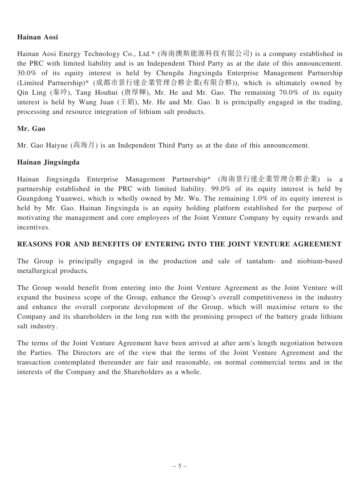#### Hainan Aosi

Hainan Aosi Energy Technology Co., Ltd.\* (海南澳斯能源科技有限公司) is a company established in the PRC with limited liability and is an Independent Third Party as at the date of this announcement. 30.0% of its equity interest is held by Chengdu Jingxingda Enterprise Management Partnership (Limited Partnership)\* (成都市景行達企業管理合夥企業(有限合夥)), which is ultimately owned by Qin Ling (秦玲), Tang Houhui (唐厚輝), Mr. He and Mr. Gao. The remaining 70.0% of its equity interest is held by Wang Juan  $(\pm \frac{1}{3})$ , Mr. He and Mr. Gao. It is principally engaged in the trading, processing and resource integration of lithium salt products.

## Mr. Gao

Mr. Gao Haiyue (高海月) is an Independent Third Party as at the date of this announcement.

## Hainan Jingxingda

Hainan Jingxingda Enterprise Management Partnership\* (海南景行達企業管理合夥企業) is a partnership established in the PRC with limited liability. 99.0% of its equity interest is held by Guangdong Yuanwei, which is wholly owned by Mr. Wu. The remaining 1.0% of its equity interest is held by Mr. Gao. Hainan Jingxingda is an equity holding platform established for the purpose of motivating the management and core employees of the Joint Venture Company by equity rewards and incentives.

#### REASONS FOR AND BENEFITS OF ENTERING INTO THE JOINT VENTURE AGREEMENT

The Group is principally engaged in the production and sale of tantalum- and niobium-based metallurgical products.

The Group would benefit from entering into the Joint Venture Agreement as the Joint Venture will expand the business scope of the Group, enhance the Group's overall competitiveness in the industry and enhance the overall corporate development of the Group, which will maximise return to the Company and its shareholders in the long run with the promising prospect of the battery grade lithium salt industry.

The terms of the Joint Venture Agreement have been arrived at after arm's length negotiation between the Parties. The Directors are of the view that the terms of the Joint Venture Agreement and the transaction contemplated thereunder are fair and reasonable, on normal commercial terms and in the interests of the Company and the Shareholders as a whole.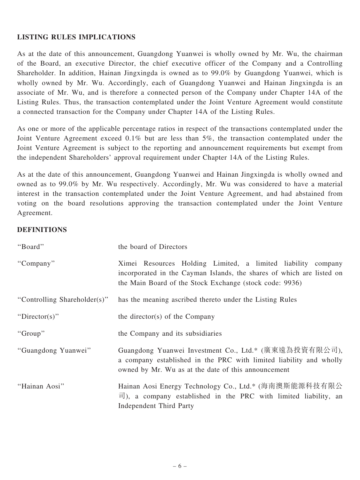## LISTING RULES IMPLICATIONS

As at the date of this announcement, Guangdong Yuanwei is wholly owned by Mr. Wu, the chairman of the Board, an executive Director, the chief executive officer of the Company and a Controlling Shareholder. In addition, Hainan Jingxingda is owned as to 99.0% by Guangdong Yuanwei, which is wholly owned by Mr. Wu. Accordingly, each of Guangdong Yuanwei and Hainan Jingxingda is an associate of Mr. Wu, and is therefore a connected person of the Company under Chapter 14A of the Listing Rules. Thus, the transaction contemplated under the Joint Venture Agreement would constitute a connected transaction for the Company under Chapter 14A of the Listing Rules.

As one or more of the applicable percentage ratios in respect of the transactions contemplated under the Joint Venture Agreement exceed 0.1% but are less than 5%, the transaction contemplated under the Joint Venture Agreement is subject to the reporting and announcement requirements but exempt from the independent Shareholders' approval requirement under Chapter 14A of the Listing Rules.

As at the date of this announcement, Guangdong Yuanwei and Hainan Jingxingda is wholly owned and owned as to 99.0% by Mr. Wu respectively. Accordingly, Mr. Wu was considered to have a material interest in the transaction contemplated under the Joint Venture Agreement, and had abstained from voting on the board resolutions approving the transaction contemplated under the Joint Venture Agreement.

#### **DEFINITIONS**

| "Board"                      | the board of Directors                                                                                                                                                                              |
|------------------------------|-----------------------------------------------------------------------------------------------------------------------------------------------------------------------------------------------------|
| "Company"                    | Ximei Resources Holding Limited, a limited liability<br>company<br>incorporated in the Cayman Islands, the shares of which are listed on<br>the Main Board of the Stock Exchange (stock code: 9936) |
| "Controlling Shareholder(s)" | has the meaning ascribed thereto under the Listing Rules                                                                                                                                            |
| "Director(s)"                | the director(s) of the Company                                                                                                                                                                      |
| "Group"                      | the Company and its subsidiaries                                                                                                                                                                    |
| "Guangdong Yuanwei"          | Guangdong Yuanwei Investment Co., Ltd.* (廣東遠為投資有限公司),<br>a company established in the PRC with limited liability and wholly<br>owned by Mr. Wu as at the date of this announcement                  |
| "Hainan Aosi"                | Hainan Aosi Energy Technology Co., Ltd.* (海南澳斯能源科技有限公<br>$\overrightarrow{\Pi}$ ), a company established in the PRC with limited liability, an<br><b>Independent Third Party</b>                    |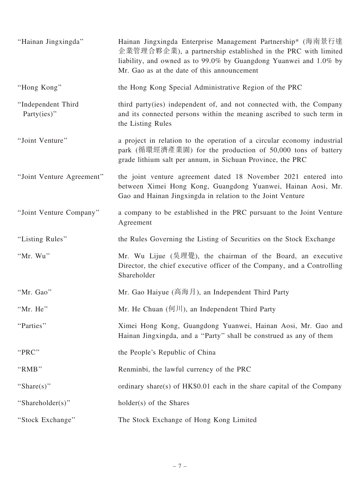| "Hainan Jingxingda"                   | Hainan Jingxingda Enterprise Management Partnership* (海南景行達<br>企業管理合夥企業), a partnership established in the PRC with limited<br>liability, and owned as to 99.0% by Guangdong Yuanwei and 1.0% by<br>Mr. Gao as at the date of this announcement |
|---------------------------------------|-------------------------------------------------------------------------------------------------------------------------------------------------------------------------------------------------------------------------------------------------|
| "Hong Kong"                           | the Hong Kong Special Administrative Region of the PRC                                                                                                                                                                                          |
| "Independent Third<br>Party $(ies)$ " | third party (ies) independent of, and not connected with, the Company<br>and its connected persons within the meaning ascribed to such term in<br>the Listing Rules                                                                             |
| "Joint Venture"                       | a project in relation to the operation of a circular economy industrial<br>park (循環經濟產業園) for the production of 50,000 tons of battery<br>grade lithium salt per annum, in Sichuan Province, the PRC                                            |
| "Joint Venture Agreement"             | the joint venture agreement dated 18 November 2021 entered into<br>between Ximei Hong Kong, Guangdong Yuanwei, Hainan Aosi, Mr.<br>Gao and Hainan Jingxingda in relation to the Joint Venture                                                   |
| "Joint Venture Company"               | a company to be established in the PRC pursuant to the Joint Venture<br>Agreement                                                                                                                                                               |
| "Listing Rules"                       | the Rules Governing the Listing of Securities on the Stock Exchange                                                                                                                                                                             |
| "Mr. Wu"                              | Mr. Wu Lijue (吳理覺), the chairman of the Board, an executive<br>Director, the chief executive officer of the Company, and a Controlling<br>Shareholder                                                                                           |
| "Mr. Gao"                             | Mr. Gao Haiyue (高海月), an Independent Third Party                                                                                                                                                                                                |
| "Mr. He"                              | Mr. He Chuan (何川), an Independent Third Party                                                                                                                                                                                                   |
| "Parties"                             | Ximei Hong Kong, Guangdong Yuanwei, Hainan Aosi, Mr. Gao and<br>Hainan Jingxingda, and a "Party" shall be construed as any of them                                                                                                              |
| "PRC"                                 | the People's Republic of China                                                                                                                                                                                                                  |
| "RMB"                                 | Renminbi, the lawful currency of the PRC                                                                                                                                                                                                        |
| "Share(s)"                            | ordinary share(s) of $HK$0.01$ each in the share capital of the Company                                                                                                                                                                         |
| "Shareholder(s)"                      | holder(s) of the Shares                                                                                                                                                                                                                         |
| "Stock Exchange"                      | The Stock Exchange of Hong Kong Limited                                                                                                                                                                                                         |